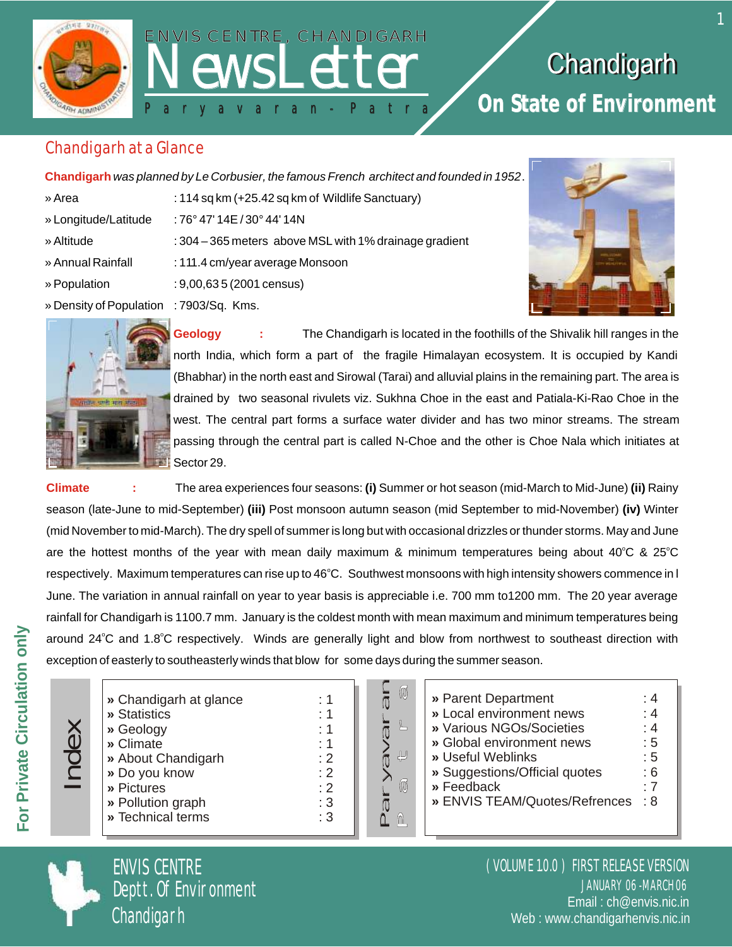

# **ENVIS CENTRE, CHANDIGARH** P a r y a v a r a n - P a t r a P a r y a v a r a n P a t r a

## Chandigarh **On State of Environment**

#### Chandigarh at a Glance

**Chandigarh** *was planned by Le Corbusier, the famous French architect and founded in 1952*.

- » Area : 114 sq km (+25.42 sq km of Wildlife Sanctuary)
- » Longitude/Latitude : 76° 47' 14E / 30° 44' 14N
- » Altitude : 304 365 meters above MSL with 1% drainage gradient
- 
- » Annual Rainfall : 111.4 cm/year average Monsoon
- » Population : 9,00,63 5 (2001 census)
- » Density of Population : 7903/Sq. Kms.





**Geology :** The Chandigarh is located in the foothills of the Shivalik hill ranges in the north India, which form a part of the fragile Himalayan ecosystem. It is occupied by Kandi (Bhabhar) in the north east and Sirowal (Tarai) and alluvial plains in the remaining part. The area is drained by two seasonal rivulets viz. Sukhna Choe in the east and Patiala-Ki-Rao Choe in the west. The central part forms a surface water divider and has two minor streams. The stream passing through the central part is called N-Choe and the other is Choe Nala which initiates at Sector 29.

**Climate :** The area experiences four seasons: **(i)** Summer or hot season (mid-March to Mid-June) **(ii)** Rainy season (late-June to mid-September) **(iii)** Post monsoon autumn season (mid September to mid-November) **(iv)** Winter (mid November to mid-March). The dry spell of summer is long but with occasional drizzles or thunder storms. May and June are the hottest months of the year with mean daily maximum & minimum temperatures being about 40°C & 25°C respectively. Maximum temperatures can rise up to 46°C. Southwest monsoons with high intensity showers commence in l June. The variation in annual rainfall on year to year basis is appreciable i.e. 700 mm to1200 mm. The 20 year average rainfall for Chandigarh is 1100.7 mm. January is the coldest month with mean maximum and minimum temperatures being around 24°C and 1.8°C respectively. Winds are generally light and blow from northwest to southeast direction with exception of easterly to southeasterly winds that blow for some days during the summer season.

|               | » Chai  |
|---------------|---------|
|               | » Stati |
| $\bm{\times}$ | » Geol  |
| Φ             | » Clim  |
| $\bigcap$     | » Abou  |
|               | » Do y  |
|               | » Pictu |
|               | » Pollu |
|               | » Tech  |
|               |         |

- NewsLetterNewsLetterNewsLetterNewsLetterNewsLetterNewsLetterNewsLetterNewsLetterNewsLetterNewsLetterNewsLetterNewsLetterNewsLetterNewsLetterNewsLetterNewsLetterNewsLetterNewsLetterNewsLetterNewsLetterNewsLetterNewsLetterNe **Probable 20 andigarh at glance : 1 »** Statistics : 1 <table>\n<tbody>\n<tr>\n<th>✓</th>\n<td>» Geology</td>\n<td>∴ 1</td>\n</tr>\n<tr>\n<th>✓</th>\n<td>» Climate</td>\n<td>∴ 1</td>\n</tr>\n<tr>\n<th>✓</th>\n<td>» About Chandingarh</td>\n<td>∴ 2</td>\n</tr>\n<tr>\n<th>✓</th>\n<td>» Do you know</td>\n<td>∴ 2</td>\n</tr>\n<tr>\n<th>✓</th>\n<td>∴ Pictures</td>\n<td>∴ 2</td>\n</tr>\n</tbody>\n</table> **»** Climate : 1 ext Chandigarh : 2 **»** Do you know : 2 **»** Pictures : 2 **»** Pollution graph : 3
	- **nical terms**



| » Parent Department           | : 4 |
|-------------------------------|-----|
| » Local environment news      | : 4 |
| » Various NGOs/Societies      | : 4 |
| » Global environment news     | : 5 |
| » Useful Weblinks             | : 5 |
| » Suggestions/Official quotes | : 6 |
| » Feedback                    | . 7 |
| » ENVIS TEAM/Quotes/Refrences | : 8 |
|                               |     |
|                               |     |



ENVIS CENTRE Deptt. Of Environment Chandigarh

JANUARY 06 -MARCH 06 ( VOLUME 1.0.0 ) FIRST RELEASE VERSION Email : ch@envis.nic.in Web : www.chandigarhenvis.nic.in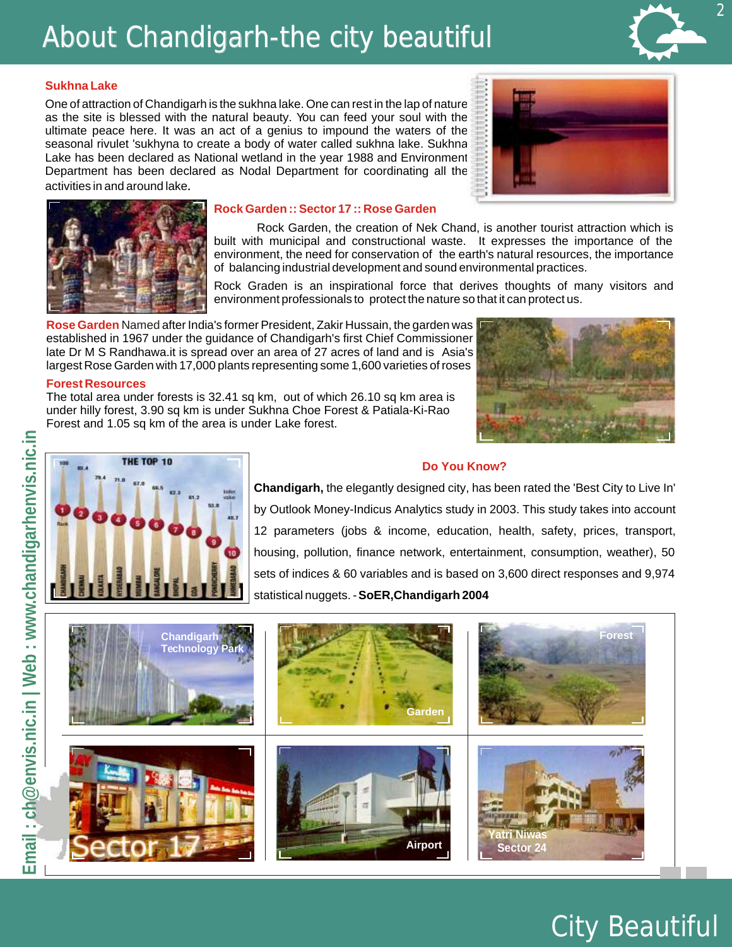## About Chandigarh-the city beautiful

#### **Sukhna Lake**

One of attraction of Chandigarh is the sukhna lake. One can rest in the lap of nature as the site is blessed with the natural beauty. You can feed your soul with the ultimate peace here. It was an act of a genius to impound the waters of the seasonal rivulet 'sukhyna to create a body of water called sukhna lake. Sukhna Lake has been declared as National wetland in the year 1988 and Environment Department has been declared as Nodal Department for coordinating all the activities in and around lake.





#### **Rock Garden :: Sector 17 :: Rose Garden**

Rock Garden, the creation of Nek Chand, is another tourist attraction which is built with municipal and constructional waste. It expresses the importance of the environment, the need for conservation of the earth's natural resources, the importance of balancing industrial development and sound environmental practices.

Rock Graden is an inspirational force that derives thoughts of many visitors and environment professionals to protect the nature so that it can protect us.

Rose Garden Named after India's former President, Zakir Hussain, the garden was established in 1967 under the guidance of Chandigarh's first Chief Commissioner late Dr M S [Randhawa.it](https://Randhawa.it) is spread over an area of 27 acres of land and is Asia's largest Rose Garden with 17,000 plants representing some 1,600 varieties of roses



#### **Forest Resources**

The total area under forests is 32.41 sq km, out of which 26.10 sq km area is under hilly forest, 3.90 sq km is under Sukhna Choe Forest & Patiala-Ki-Rao Forest and 1.05 sq km of the area is under Lake forest.



#### **Do You Know?**

**Chandigarh,** the elegantly designed city, has been rated the 'Best City to Live In' by Outlook Money-Indicus Analytics study in 2003. This study takes into account 12 parameters (jobs & income, education, health, safety, prices, transport, housing, pollution, finance network, entertainment, consumption, weather), 50 sets of indices & 60 variables and is based on 3,600 direct responses and 9,974 statistical nuggets. -**SoER,Chandigarh 2004** 





2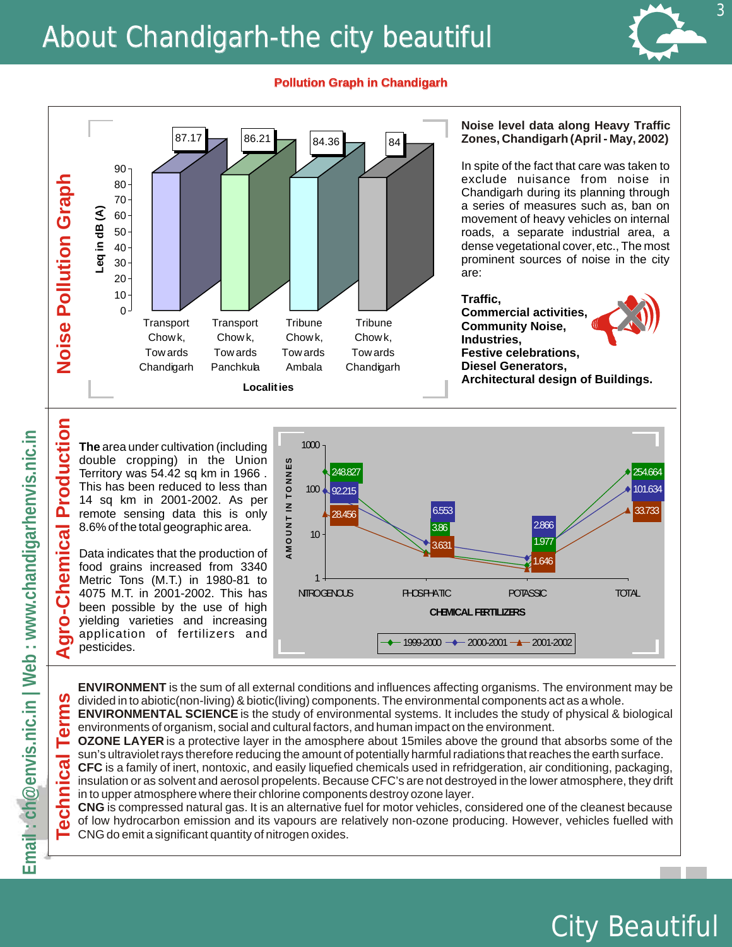## About Chandigarh-the city beautiful



City Beautiful

#### **Pollution Graph in Chandigarh Chandigarh**



**The** area under cultivation (including double cropping) in the Union Territory was 54.42 sq km in 1966 . This has been reduced to less than 14 sq km in 2001-2002. As per remote sensing data this is only 8.6% of the total geographic area.

Data indicates that the production of food grains increased from 3340 Metric Tons (M.T.) in 1980-81 to 4075 M.T. in 2001-2002. This has been possible by the use of high yielding varieties and increasing application of fertilizers and pesticides.



**ENVIRONMENT** is the sum of all external conditions and influences affecting organisms. The environment may be S divided in to abiotic(non-living) & biotic(living) components. The environmental components act as a whole.

**Term: ENVIRONMENTAL SCIENCE** is the study of environmental systems. It includes the study of physical & biological environments of organism, social and cultural factors, and human impact on the environment.

**OZONE LAYER** is a protective layer in the amosphere about 15miles above the ground that absorbs some of the sun's ultraviolet rays therefore reducing the amount of potentially harmful radiations that reaches the earth surface.

**CFC** is a family of inert, nontoxic, and easily liquefied chemicals used in refridgeration, air conditioning, packaging, insulation or as solvent and aerosol propelents. Because CFC's are not destroyed in the lower atmosphere, they drift in to upper atmosphere where their chlorine components destroy ozone layer.

**CNG** is compressed natural gas. It is an alternative fuel for motor vehicles, considered one of the cleanest because of low hydrocarbon emission and its vapours are relatively non-ozone producing. However, vehicles fuelled with CNG do emit a significant quantity of nitrogen oxides.

emical Production

Ğ

**Ollo-**

⋖

**ical** 

chn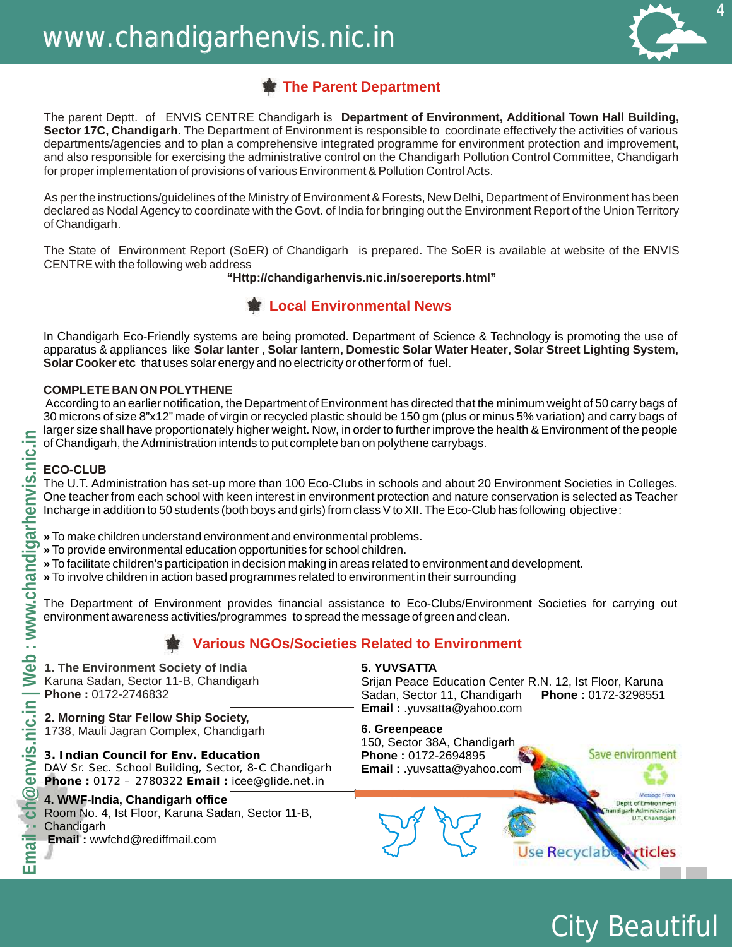

City Beautiful

### **The Parent Department**

The parent Deptt. of ENVIS CENTRE Chandigarh is **Department of Environment, Additional Town Hall Building, Sector 17C, Chandigarh.** The Department of Environment is responsible to coordinate effectively the activities of various departments/agencies and to plan a comprehensive integrated programme for environment protection and improvement, and also responsible for exercising the administrative control on the Chandigarh Pollution Control Committee, Chandigarh for proper implementation of provisions of various Environment & Pollution Control Acts.

As per the instructions/guidelines of the Ministry of Environment & Forests, New Delhi, Department of Environment has been declared as Nodal Agency to coordinate with the Govt. of India for bringing out the Environment Report of the Union Territory of Chandigarh.

The State of Environment Report (SoER) of Chandigarh is prepared. The SoER is available at website of the ENVIS CENTRE with the following web address

**"<Http://chandigarhenvis.nic.in/soereports.html>"** 

#### **Local Environmental News**

In Chandigarh Eco-Friendly systems are being promoted. Department of Science & Technology is promoting the use of apparatus & appliances like **Solar lanter , Solar lantern, Domestic Solar Water Heater, Solar Street Lighting System, Solar Cooker etc** that uses solar energy and no electricity or other form of fuel.

#### **COMPLETE BAN ON POLYTHENE**

According to an earlier notification, the Department of Environment has directed that the minimum weight of 50 carry bags of 30 microns of size 8"x12" made of virgin or recycled plastic should be 150 gm (plus or minus 5% variation) and carry bags of larger size shall have proportionately higher weight. Now, in order to further improve the health & Environment of the people of Chandigarh, the Administration intends to put complete ban on polythene carrybags.

#### **ECO-CLUB**

- **»** To make children understand environment and environmental problems.
- **»** To provide environmental education opportunities for school children.
- **»** To facilitate children's participation in decision making in areas related to environment and development.
- **»** To involve children in action based programmes related to environment in their surrounding

## **Various NGOs/Societies Related to Environment**

|                                  | of Chandigarh, the Administration intends to put complete ban on polythene carrybags.                                                                                                                                                                                                                                                                                                        | larger size shall have proportionately higher weight. Now, in order to further improve the health & Environment of the people                                       |  |  |  |
|----------------------------------|----------------------------------------------------------------------------------------------------------------------------------------------------------------------------------------------------------------------------------------------------------------------------------------------------------------------------------------------------------------------------------------------|---------------------------------------------------------------------------------------------------------------------------------------------------------------------|--|--|--|
| $\overline{\mathsf{C}}$          | <b>ECO-CLUB</b><br>The U.T. Administration has set-up more than 100 Eco-Clubs in schools and about 20 Environment Societies in Colleges.<br>One teacher from each school with keen interest in environment protection and nature conservation is selected as Teacher<br>Incharge in addition to 50 students (both boys and girls) from class V to XII. The Eco-Club has following objective: |                                                                                                                                                                     |  |  |  |
| arh<br>pd<br>$\overline{\sigma}$ | » To make children understand environment and environmental problems.<br>» To provide environmental education opportunities for school children.<br>» To facilitate children's participation in decision making in areas related to environment and development.<br>» To involve children in action based programmes related to environment in their surrounding                             |                                                                                                                                                                     |  |  |  |
| ਹ<br>WWW.                        | The Department of Environment provides financial assistance to Eco-Clubs/Environment Societies for carrying out<br>environment awareness activities/programmes to spread the message of green and clean.                                                                                                                                                                                     |                                                                                                                                                                     |  |  |  |
|                                  | <b>Various NGOs/Societies Related to Environment</b>                                                                                                                                                                                                                                                                                                                                         |                                                                                                                                                                     |  |  |  |
| ည္သ                              | 1. The Environment Society of India<br>Karuna Sadan, Sector 11-B, Chandigarh<br>Phone: 0172-2746832                                                                                                                                                                                                                                                                                          | <b>5. YUVSATTA</b><br>Srijan Peace Education Center R.N. 12, Ist Floor, Karuna<br>Sadan, Sector 11, Chandigarh<br>Phone: 0172-3298551<br>Email: .yuvsatta@yahoo.com |  |  |  |
|                                  | 2. Morning Star Fellow Ship Society,<br>1738, Mauli Jagran Complex, Chandigarh                                                                                                                                                                                                                                                                                                               | 6. Greenpeace                                                                                                                                                       |  |  |  |
| <b>NU</b>                        | 3. Indian Council for Env. Education<br>DAV Sr. Sec. School Building, Sector, 8-C Chandigarh<br>Phone: 0172 - 2780322 Email: icee@glide.net.in                                                                                                                                                                                                                                               | 150, Sector 38A, Chandigarh<br>Save environmen<br>Phone: 0172-2694895<br>Email: .yuvsatta@yahoo.com                                                                 |  |  |  |
| $\circledcirc$<br>P              | 4. WWF-India, Chandigarh office<br>Room No. 4, Ist Floor, Karuna Sadan, Sector 11-B,<br>Chandigarh<br><b>Email:</b> wwfchd@rediffmail.com                                                                                                                                                                                                                                                    | Deptt of Er<br>I.T. Chandigart<br><b>Jse Recyclabl</b>                                                                                                              |  |  |  |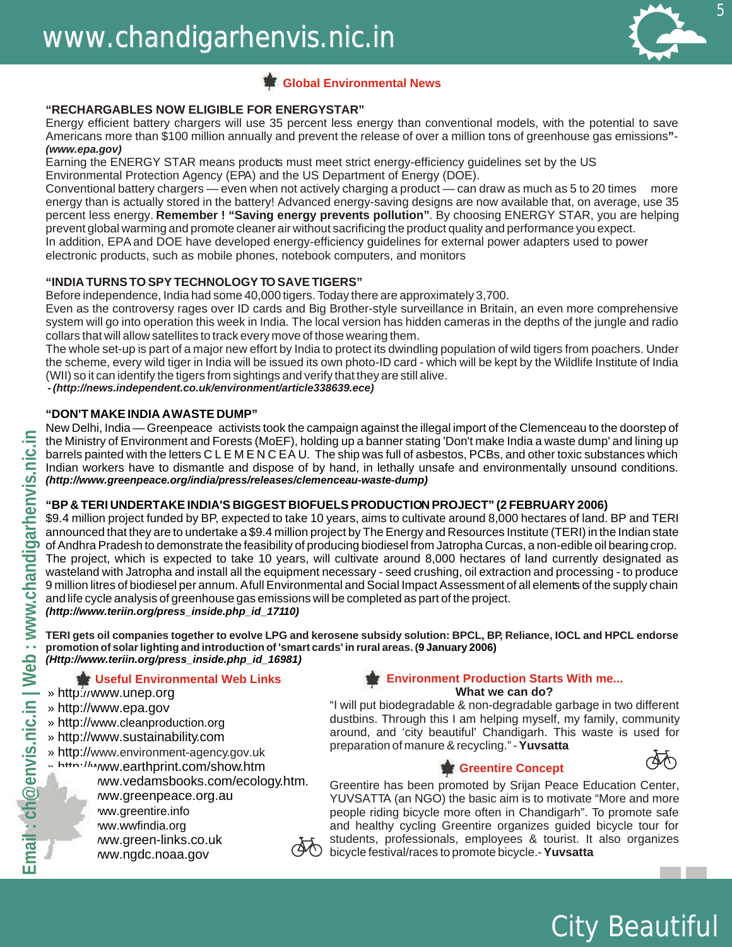

#### **Global Environmental News**

#### **"RECHARGABLES NOW ELIGIBLE FOR ENERGYSTAR"**

Energy efficient battery chargers will use 35 percent less energy than conventional models, with the potential to save Americans more than \$100 million annually and prevent the release of over a million tons of greenhouse gas emissions**"**- *[\(www.epa.gov\)](www.epa.gov)*

Earning the ENERGY STAR means products must meet strict energy-efficiency guidelines set by the US

Environmental Protection Agency (EPA) and the US Department of Energy (DOE).

Conventional battery chargers — even when not actively charging a product — can draw as much as 5 to 20 times more energy than is actually stored in the battery! Advanced energy-saving designs are now available that, on average, use 35 percent less energy. **Remember ! "Saving energy prevents pollution"**. By choosing ENERGY STAR, you are helping prevent global warming and promote cleaner air without sacrificing the product quality and performance you expect.

In addition, EPA and DOE have developed energy-efficiency guidelines for external power adapters used to power electronic products, such as mobile phones, notebook computers, and monitors

#### **"INDIA TURNS TO SPY TECHNOLOGY TO SAVE TIGERS"**

Before independence, India had some 40,000 tigers. Today there are approximately 3,700.

Even as the controversy rages over ID cards and Big Brother-style surveillance in Britain, an even more comprehensive system will go into operation this week in India. The local version has hidden cameras in the depths of the jungle and radio collars that will allow satellites to track every move of those wearing them.

 (WII) so it can identify the tigers from sightings and verify that they are still alive. The whole set-up is part of a major new effort by India to protect its dwindling population of wild tigers from poachers. Under the scheme, every wild tiger in India will be issued its own photo-ID card - which will be kept by the Wildlife Institute of India

 *- [\(http://news.independent.co.uk/environment/article338639.ece\)](http://news.independent.co.uk/environment/article338639.ece)* 

#### **"DON'T MAKE INDIA AWASTE DUMP"**

New Delhi, India — Greenpeace activists took the campaign against the illegal import of the Clemenceau to the doorstep of the Ministry of Environment and Forests (MoEF), holding up a banner stating 'Don't make India a waste dump' and lining up barrels painted with the letters C L E M E N C EA U. The ship was full of asbestos, PCBs, and other toxic substances which Indian workers have to dismantle and dispose of by hand, in lethally unsafe and environmentally unsound conditions. *[\(http://www.greenpeace.org/india/press/releases/clemenceau-waste-dump\)](http://www.greenpeace.org/india/press/releases/clemenceau-waste-dump)* 

#### **"BP & TERI UNDERTAKE INDIA'S BIGGEST BIOFUELS PRODUCTION PROJECT" (2 FEBRUARY 2006)**

\$9.4 million project funded by BP, expected to take 10 years, aims to cultivate around 8,000 hectares of land. BP and TERI announced that they are to undertake a \$9.4 million project by The Energy and Resources Institute (TERI) in the Indian state of Andhra Pradesh to demonstrate the feasibility of producing biodiesel from Jatropha Curcas, a non-edible oil bearing crop. The project, which is expected to take 10 years, will cultivate around 8,000 hectares of land currently designated as wasteland with Jatropha and install all the equipment necessary - seed crushing, oil extraction and processing - to produce 9 million litres of biodiesel per annum. Afull Environmental and Social Impact Assessment of all elements of the supply chain and life cycle analysis of greenhouse gas emissions will be completed as part of the project. *[\(http://www.teriin.org/press\\_inside.php\\_id\\_17110](http://www.teriin.org/press_inside.php_id_17110))* 

**TERI gets oil companies together to evolve LPG and kerosene subsidy solution: BPCL, BP, Reliance, IOCL and HPCL endorse promotion of solar lighting and introduction of 'smart cards' in rural areas. (9 January 2006)** *[\(Http://www.teriin.org/press\\_inside.php\\_id\\_16981](Http://www.teriin.org/press_inside.php_id_16981))* 

#### »<http://www.unep.org>

- »<http://www.epa.gov>
- »<http://www.cleanproduction.org>
- »<http://www.sustainability.com>
- »<http://www.environment-agency.gov.uk>
- »<http://www.earthprint.com/show.htm>
	- ww.vedamsbooks.com/ecology.htm.

ww.greenpeace.org.au ww.greentire.info ww.wwfindia.org ww.green-links.co.uk ww.ngdc.noaa.gov



#### **Useful Environmental Web Links Environment Production Starts With me... What we can do?**

"I will put biodegradable & non-degradable garbage in two different dustbins. Through this I am helping myself, my family, community around, and 'city beautiful' Chandigarh. This waste is used for preparation of manure & recycling." -**Yuvsatta** 

#### **Mage Greentire Concept**

Greentire has been promoted by Srijan Peace Education Center, YUVSATTA (an NGO) the basic aim is to motivate "More and more people riding bicycle more often in Chandigarh". To promote safe and healthy cycling Greentire organizes guided bicycle tour for students, professionals, employees & tourist. It also organizes bicycle festival/races to promote bicycle.-**Yuvsatta** 

City Beautiful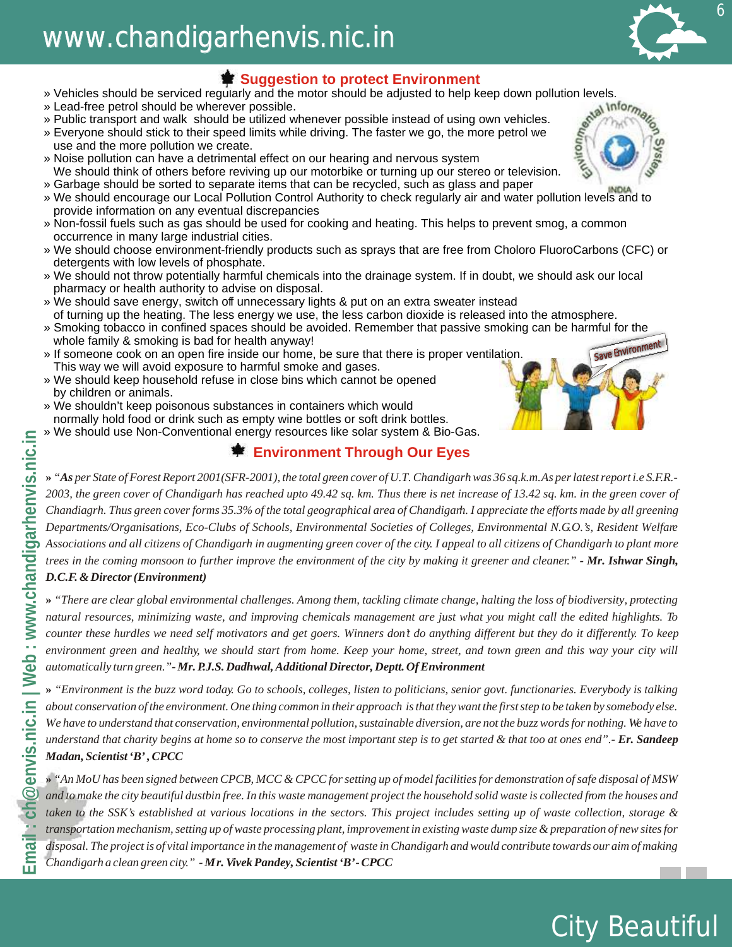## www.chandigarhenvis.nic.in

### $\triangleq$  **Suggestion to protect Environment**

- 
- » Lead-free petrol should be wherever possible.
- » Public transport and walk should be utilized whenever possible instead of using own vehicles.
- » Vehicles should be serviced regularly and the motor should be adjusted to help keep down pollution levels.<br>
» Lead-free petrol should be wherever possible.<br>
» Public transport and walk should be utilized whenever pos » Everyone should stick to their speed limits while driving. The faster we go, the more petrol we use and the more pollution we create.
- » Noise pollution can have a detrimental effect on our hearing and nervous system We should think of others before reviving up our motorbike or turning up our stereo or television.
- » Garbage should be sorted to separate items that can be recycled, such as glass and paper
- » We should encourage our Local Pollution Control Authority to check regularly air and water pollution levels and to provide information on any eventual discrepancies
- » Non-fossil fuels such as gas should be used for cooking and heating. This helps to prevent smog, a common occurrence in many large industrial cities.
- » We should choose environment-friendly products such as sprays that are free from Choloro FluoroCarbons (CFC) or detergents with low levels of phosphate.
- » We should not throw potentially harmful chemicals into the drainage system. If in doubt, we should ask our local pharmacy or health authority to advise on disposal.
- » We should save energy, switch off unnecessary lights & put on an extra sweater instead of turning up the heating. The less energy we use, the less carbon dioxide is released into the atmosphere.
- » Smoking tobacco in confined spaces should be avoided. Remember that passive smoking can be harmful for the whole family & smoking is bad for health anyway!
- » If someone cook on an open fire inside our home, be sure that there is proper ventilation. This way we will avoid exposure to harmful smoke and gases.
- » We should keep household refuse in close bins which cannot be opened by children or animals.
- » We shouldn't keep poisonous substances in containers which would normally hold food or drink such as empty wine bottles or soft drink bottles.
- » We should use Non-Conventional energy resources like solar system & Bio-Gas.

#### **掌 Environment Through Our Eyes**

**EMAIL IN THE STATE CONSTRANT CONSTRANT CONSTRANT CONSTRANT CONSTRANT CONSTRANT CONSTRANT CONSTRANT CONSTRANT CONSTRANT CONSTRANT CONSTRANT CONSTRANT CONSTRANT CONSTRANT CONSTRANT CONSTRANT CONSTRANT CONSTRANT CONSTRANT C »** *"As per State of Forest Report 2001(SFR-2001), the total green cover of U.T. Chandigarh was 36 sq.k.m.As per latest report i.e S.F.R.- 2003, the green cover of Chandigarh has reached upto 49.42 sq. km. Thus there is net increase of 13.42 sq. km. in the green cover of Chandiagrh. Thus green cover forms 35.3% of the total geographical area of Chandigarh. I appreciate the efforts made by all greening Departments/Organisations, Eco-Clubs of Schools, Environmental Societies of Colleges, Environmental N.G.O.'s, Resident Welfare Associations and all citizens of Chandigarh in augmenting green cover of the city. I appeal to all citizens of Chandigarh to plant more trees in the coming monsoon to further improve the environment of the city by making it greener and cleaner." - Mr. Ishwar Singh,* 

#### *D.C.F. & Director (Environment)*

**»** *"There are clear global environmental challenges. Among them, tackling climate change, halting the loss of biodiversity, protecting natural resources, minimizing waste, and improving chemicals management are just what you might call the edited highlights. To counter these hurdles we need self motivators and get goers. Winners don't do anything different but they do it differently. To keep environment green and healthy, we should start from home. Keep your home, street, and town green and this way your city will automatically turn green.* "*- Mr. P.J.S. Dadhwal, Additional Director, Deptt. Of Environment* 

**»** *"Environment is the buzz word today. Go to schools, colleges, listen to politicians, senior govt. functionaries. Everybody is talking about conservation of the environment. One thing common in their approach is that they want the first step to be taken by somebody else. We have to understand that conservation, environmental pollution, sustainable diversion, are not the buzz words for nothing. We have to understand that charity begins at home so to conserve the most important step is to get started & that too at ones end".- Er. Sandeep Madan, Scientist 'B' , CPCC* 

*and to make the city beautiful dustbin free. In this waste management project the household solid waste is collected from the houses and taken to the SSK's established at various locations in the sectors. This project includes setting up of waste collection, storage & transportation mechanism, setting up of waste processing plant, improvement in existing waste dump size & preparation of new sites for disposal. The project is of vital importance in the management of waste in Chandigarh and would contribute towards our aim of making Chandigarh a clean green city." - Mr. Vivek Pandey, Scientist 'B'- CPCC* 

# S





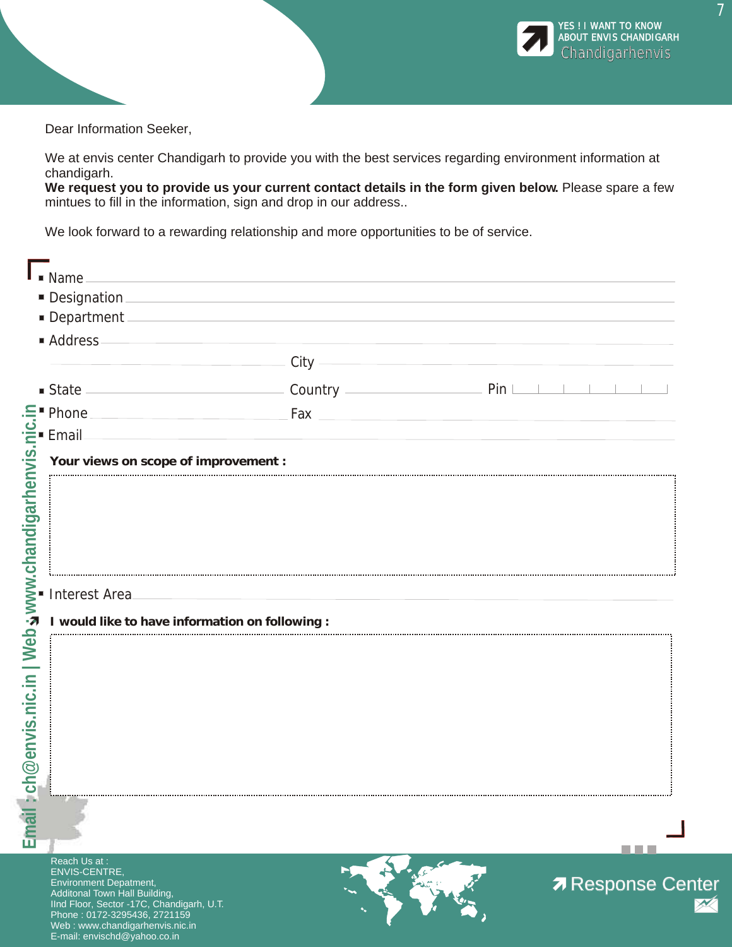

Dear Information Seeker,

We at envis center Chandigarh to provide you with the best services regarding environment information at chandigarh.

**We request you to provide us your current contact details in the form given below.** Please spare a few mintues to fill in the information, sign and drop in our address..

We look forward to a rewarding relationship and more opportunities to be of service.

| ■ Address                                       |                                                         |                                          |
|-------------------------------------------------|---------------------------------------------------------|------------------------------------------|
|                                                 |                                                         |                                          |
|                                                 | State <u>State</u> Country Country <b>Countries</b> Pin |                                          |
| $\equiv$ Phone                                  |                                                         | $\sqrt{2}$ Fax $\sqrt{2}$ Fax $\sqrt{2}$ |
|                                                 |                                                         |                                          |
| Your views on scope of improvement :            |                                                         |                                          |
|                                                 |                                                         |                                          |
|                                                 |                                                         |                                          |
|                                                 |                                                         |                                          |
|                                                 |                                                         |                                          |
| Interest Area                                   | the control of the control of the control of            |                                          |
| I would like to have information on following : |                                                         |                                          |
|                                                 |                                                         |                                          |
|                                                 |                                                         |                                          |
|                                                 |                                                         |                                          |
|                                                 |                                                         |                                          |
|                                                 |                                                         |                                          |
|                                                 |                                                         |                                          |
|                                                 |                                                         |                                          |
|                                                 |                                                         |                                          |
|                                                 |                                                         |                                          |
|                                                 |                                                         |                                          |

Environment Depatment, Additonal Town Hall Building, IInd Floor, Sector -17C, Chandigarh, U.T. Phone : 0172-3295436, 2721159 Web : www.chandigarhenvis.nic.in E-mail: envischd@yahoo.co.in